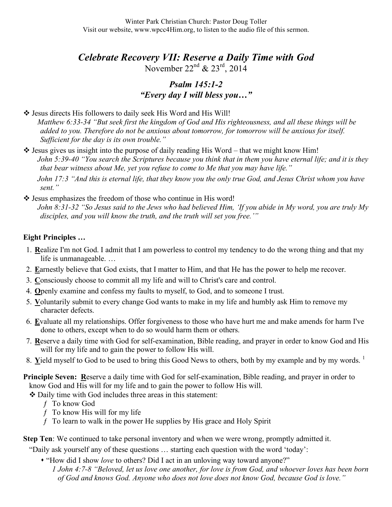*Celebrate Recovery VII: Reserve a Daily Time with God*

November  $22^{nd}$  &  $23^{rd}$ ,  $2014$ 

## *Psalm 145:1-2 "Every day I will bless you…"*

❖ Jesus directs His followers to daily seek His Word and His Will!

*Matthew 6:33-34 "But seek first the kingdom of God and His righteousness, and all these things will be added to you. Therefore do not be anxious about tomorrow, for tomorrow will be anxious for itself. Sufficient for the day is its own trouble."*

 $\cdot$  Jesus gives us insight into the purpose of daily reading His Word – that we might know Him! *John 5:39-40 "You search the Scriptures because you think that in them you have eternal life; and it is they that bear witness about Me, yet you refuse to come to Me that you may have life."*

*John 17:3 "And this is eternal life, that they know you the only true God, and Jesus Christ whom you have sent."*

 $\triangleleft$  Jesus emphasizes the freedom of those who continue in His word!

*John 8:31-32 "So Jesus said to the Jews who had believed Him, 'If you abide in My word, you are truly My disciples, and you will know the truth, and the truth will set you free.'"*

## **Eight Principles …**

- 1. **R**ealize I'm not God. I admit that I am powerless to control my tendency to do the wrong thing and that my life is unmanageable. …
- 2. **E**arnestly believe that God exists, that I matter to Him, and that He has the power to help me recover.
- 3. **C**onsciously choose to commit all my life and will to Christ's care and control.
- 4. **O**penly examine and confess my faults to myself, to God, and to someone I trust.
- 5. **V**oluntarily submit to every change God wants to make in my life and humbly ask Him to remove my character defects.
- 6. **E**valuate all my relationships. Offer forgiveness to those who have hurt me and make amends for harm I've done to others, except when to do so would harm them or others.
- 7. **R**eserve a daily time with God for self-examination, Bible reading, and prayer in order to know God and His will for my life and to gain the power to follow His will.
- 8. Yield myself to God to be used to bring this Good News to others, both by my example and by my words.<sup>1</sup>

**Principle Seven: Reserve a daily time with God for self-examination, Bible reading, and prayer in order to** know God and His will for my life and to gain the power to follow His will.

Daily time with God includes three areas in this statement:

- ƒ To know God
- $f$  To know His will for my life
- $f$  To learn to walk in the power He supplies by His grace and Holy Spirit

**Step Ten**: We continued to take personal inventory and when we were wrong, promptly admitted it.

"Daily ask yourself any of these questions … starting each question with the word 'today':

- "How did I show *love* to others? Did I act in an unloving way toward anyone?"
	- *1 John 4:7-8 "Beloved, let us love one another, for love is from God, and whoever loves has been born of God and knows God. Anyone who does not love does not know God, because God is love."*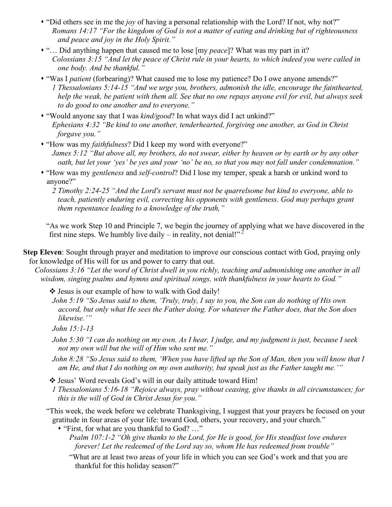- "Did others see in me the *joy* of having a personal relationship with the Lord? If not, why not?" *Romans 14:17 "For the kingdom of God is not a matter of eating and drinking but of righteousness and peace and joy in the Holy Spirit."*
- "… Did anything happen that caused me to lose [my *peace*]? What was my part in it? *Colossians 3:15 "And let the peace of Christ rule in your hearts, to which indeed you were called in one body. And be thankful."*
- "Was I *patient* (forbearing)? What caused me to lose my patience? Do I owe anyone amends?" *1 Thessalonians 5:14-15 "And we urge you, brothers, admonish the idle, encourage the fainthearted, help the weak, be patient with them all. See that no one repays anyone evil for evil, but always seek to do good to one another and to everyone."*
- "Would anyone say that I was *kind/good*? In what ways did I act unkind?" *Ephesians 4:32 "Be kind to one another, tenderhearted, forgiving one another, as God in Christ forgave you."*
- "How was my *faithfulness*? Did I keep my word with everyone?" *James 5:12 "But above all, my brothers, do not swear, either by heaven or by earth or by any other oath, but let your 'yes' be yes and your 'no' be no, so that you may not fall under condemnation."*
- "How was my *gentleness* and *self-control*? Did I lose my temper, speak a harsh or unkind word to anyone?"
	- *2 Timothy 2:24-25 "And the Lord's servant must not be quarrelsome but kind to everyone, able to teach, patiently enduring evil, correcting his opponents with gentleness. God may perhaps grant them repentance leading to a knowledge of the truth,"*

"As we work Step 10 and Principle 7, we begin the journey of applying what we have discovered in the first nine steps. We humbly live daily – in reality, not denial!"<sup>2</sup>

**Step Eleven**: Sought through prayer and meditation to improve our conscious contact with God, praying only for knowledge of His will for us and power to carry that out.

*Colossians 3:16 "Let the word of Christ dwell in you richly, teaching and admonishing one another in all wisdom, singing psalms and hymns and spiritual songs, with thankfulness in your hearts to God."*

Jesus is our example of how to walk with God daily!

*John 5:19 "So Jesus said to them, 'Truly, truly, I say to you, the Son can do nothing of His own accord, but only what He sees the Father doing. For whatever the Father does, that the Son does likewise.'"*

*John 15:1-13* 

- *John 5:30 "I can do nothing on my own. As I hear, I judge, and my judgment is just, because I seek not my own will but the will of Him who sent me."*
- *John 8:28 "So Jesus said to them, 'When you have lifted up the Son of Man, then you will know that I am He, and that I do nothing on my own authority, but speak just as the Father taught me.'"*

Jesus' Word reveals God's will in our daily attitude toward Him!

- *1 Thessalonians 5:16-18 "Rejoice always, pray without ceasing, give thanks in all circumstances; for this is the will of God in Christ Jesus for you."*
- "This week, the week before we celebrate Thanksgiving, I suggest that your prayers be focused on your gratitude in four areas of your life: toward God, others, your recovery, and your church."

"First, for what are you thankful to God? …"

- *Psalm 107:1-2 "Oh give thanks to the Lord, for He is good, for His steadfast love endures forever! Let the redeemed of the Lord say so, whom He has redeemed from trouble"*
- "What are at least two areas of your life in which you can see God's work and that you are thankful for this holiday season?"